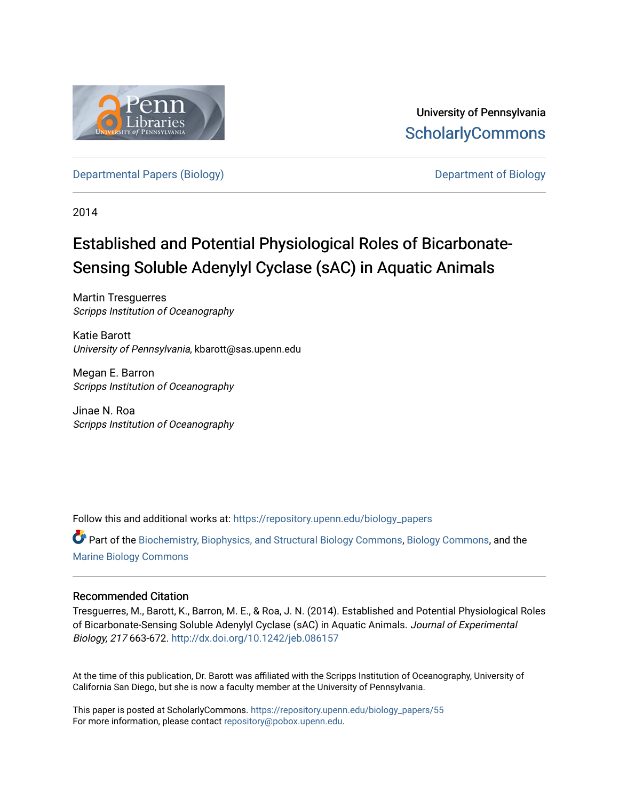

University of Pennsylvania **ScholarlyCommons** 

[Departmental Papers \(Biology\)](https://repository.upenn.edu/biology_papers) [Department of Biology](https://repository.upenn.edu/biology) 

2014

# Established and Potential Physiological Roles of Bicarbonate-Sensing Soluble Adenylyl Cyclase (sAC) in Aquatic Animals

Martin Tresguerres Scripps Institution of Oceanography

Katie Barott University of Pennsylvania, kbarott@sas.upenn.edu

Megan E. Barron Scripps Institution of Oceanography

Jinae N. Roa Scripps Institution of Oceanography

Follow this and additional works at: [https://repository.upenn.edu/biology\\_papers](https://repository.upenn.edu/biology_papers?utm_source=repository.upenn.edu%2Fbiology_papers%2F55&utm_medium=PDF&utm_campaign=PDFCoverPages) 

Part of the [Biochemistry, Biophysics, and Structural Biology Commons](http://network.bepress.com/hgg/discipline/1?utm_source=repository.upenn.edu%2Fbiology_papers%2F55&utm_medium=PDF&utm_campaign=PDFCoverPages), [Biology Commons,](http://network.bepress.com/hgg/discipline/41?utm_source=repository.upenn.edu%2Fbiology_papers%2F55&utm_medium=PDF&utm_campaign=PDFCoverPages) and the [Marine Biology Commons](http://network.bepress.com/hgg/discipline/1126?utm_source=repository.upenn.edu%2Fbiology_papers%2F55&utm_medium=PDF&utm_campaign=PDFCoverPages) 

# Recommended Citation

Tresguerres, M., Barott, K., Barron, M. E., & Roa, J. N. (2014). Established and Potential Physiological Roles of Bicarbonate-Sensing Soluble Adenylyl Cyclase (sAC) in Aquatic Animals. Journal of Experimental Biology, 217 663-672. <http://dx.doi.org/10.1242/jeb.086157>

At the time of this publication, Dr. Barott was affiliated with the Scripps Institution of Oceanography, University of California San Diego, but she is now a faculty member at the University of Pennsylvania.

This paper is posted at ScholarlyCommons. [https://repository.upenn.edu/biology\\_papers/55](https://repository.upenn.edu/biology_papers/55) For more information, please contact [repository@pobox.upenn.edu.](mailto:repository@pobox.upenn.edu)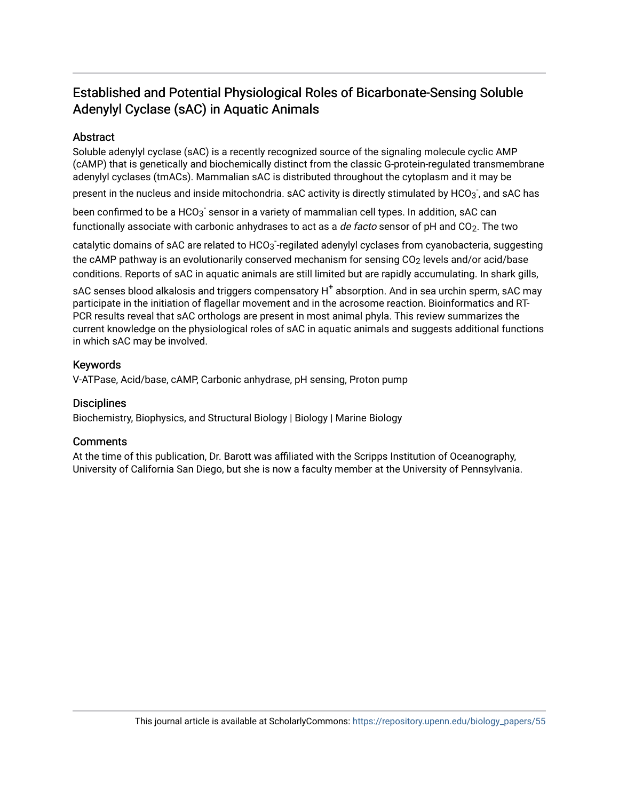# Established and Potential Physiological Roles of Bicarbonate-Sensing Soluble Adenylyl Cyclase (sAC) in Aquatic Animals

# Abstract

Soluble adenylyl cyclase (sAC) is a recently recognized source of the signaling molecule cyclic AMP (cAMP) that is genetically and biochemically distinct from the classic G-protein-regulated transmembrane adenylyl cyclases (tmACs). Mammalian sAC is distributed throughout the cytoplasm and it may be

present in the nucleus and inside mitochondria.  $\mathsf{sAC}$  activity is directly stimulated by HCO $_3$  , and  $\mathsf{sAC}$  has

been confirmed to be a HCO $_3^{\text{-}}$  sensor in a variety of mammalian cell types. In addition, sAC can functionally associate with carbonic anhydrases to act as a de facto sensor of pH and CO<sub>2</sub>. The two

catalytic domains of sAC are related to HCO $_3$ -regilated adenylyl cyclases from cyanobacteria, suggesting the cAMP pathway is an evolutionarily conserved mechanism for sensing CO<sub>2</sub> levels and/or acid/base conditions. Reports of sAC in aquatic animals are still limited but are rapidly accumulating. In shark gills,

 $\mathsf{sAC}$  senses blood alkalosis and triggers compensatory  $\mathsf{H}^+$  absorption. And in sea urchin sperm,  $\mathsf{sAC}$  may participate in the initiation of flagellar movement and in the acrosome reaction. Bioinformatics and RT-PCR results reveal that sAC orthologs are present in most animal phyla. This review summarizes the current knowledge on the physiological roles of sAC in aquatic animals and suggests additional functions in which sAC may be involved.

# Keywords

V-ATPase, Acid/base, cAMP, Carbonic anhydrase, pH sensing, Proton pump

# **Disciplines**

Biochemistry, Biophysics, and Structural Biology | Biology | Marine Biology

# **Comments**

At the time of this publication, Dr. Barott was affiliated with the Scripps Institution of Oceanography, University of California San Diego, but she is now a faculty member at the University of Pennsylvania.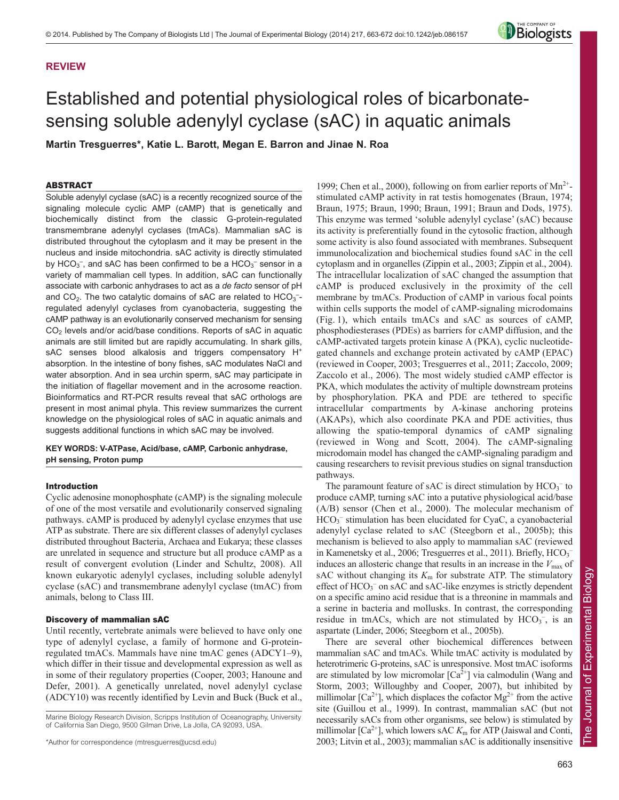# **REVIEW**



# Established and potential physiological roles of bicarbonatesensing soluble adenylyl cyclase (sAC) in aquatic animals

**Martin Tresguerres\*, Katie L. Barott, Megan E. Barron and Jinae N. Roa**

## ABSTRACT

Soluble adenylyl cyclase (sAC) is a recently recognized source of the signaling molecule cyclic AMP (cAMP) that is genetically and biochemically distinct from the classic G-protein-regulated transmembrane adenylyl cyclases (tmACs). Mammalian sAC is distributed throughout the cytoplasm and it may be present in the nucleus and inside mitochondria. sAC activity is directly stimulated by HCO<sub>3</sub><sup>-</sup>, and sAC has been confirmed to be a HCO<sub>3</sub><sup>-</sup> sensor in a variety of mammalian cell types. In addition, sAC can functionally associate with carbonic anhydrases to act as a *de facto* sensor of pH and  $CO<sub>2</sub>$ . The two catalytic domains of sAC are related to  $HCO<sub>3</sub>$ regulated adenylyl cyclases from cyanobacteria, suggesting the cAMP pathway is an evolutionarily conserved mechanism for sensing  $CO<sub>2</sub>$  levels and/or acid/base conditions. Reports of sAC in aquatic animals are still limited but are rapidly accumulating. In shark gills, sAC senses blood alkalosis and triggers compensatory H<sup>+</sup> absorption. In the intestine of bony fishes, sAC modulates NaCl and water absorption. And in sea urchin sperm, sAC may participate in the initiation of flagellar movement and in the acrosome reaction. Bioinformatics and RT-PCR results reveal that sAC orthologs are present in most animal phyla. This review summarizes the current knowledge on the physiological roles of sAC in aquatic animals and suggests additional functions in which sAC may be involved.

# **KEY WORDS: V-ATPase, Acid/base, cAMP, Carbonic anhydrase, pH sensing, Proton pump**

## Introduction

Cyclic adenosine monophosphate (cAMP) is the signaling molecule of one of the most versatile and evolutionarily conserved signaling pathways. cAMP is produced by adenylyl cyclase enzymes that use ATP as substrate. There are six different classes of adenylyl cyclases distributed throughout Bacteria, Archaea and Eukarya; these classes are unrelated in sequence and structure but all produce cAMP as a result of convergent evolution (Linder and Schultz, 2008). All known eukaryotic adenylyl cyclases, including soluble adenylyl cyclase (sAC) and transmembrane adenylyl cyclase (tmAC) from animals, belong to Class III.

## Discovery of mammalian sAC

Until recently, vertebrate animals were believed to have only one type of adenylyl cyclase, a family of hormone and G-proteinregulated tmACs. Mammals have nine tmAC genes (ADCY1–9), which differ in their tissue and developmental expression as well as in some of their regulatory properties (Cooper, 2003; Hanoune and Defer, 2001). A genetically unrelated, novel adenylyl cyclase (ADCY10) was recently identified by Levin and Buck (Buck et al.,

1999; Chen et al., 2000), following on from earlier reports of  $Mn^{2+}$ stimulated cAMP activity in rat testis homogenates (Braun, 1974; Braun, 1975; Braun, 1990; Braun, 1991; Braun and Dods, 1975). This enzyme was termed 'soluble adenylyl cyclase' (sAC) because its activity is preferentially found in the cytosolic fraction, although some activity is also found associated with membranes. Subsequent immunolocalization and biochemical studies found sAC in the cell cytoplasm and in organelles (Zippin et al., 2003; Zippin et al., 2004). The intracellular localization of sAC changed the assumption that cAMP is produced exclusively in the proximity of the cell membrane by tmACs. Production of cAMP in various focal points within cells supports the model of cAMP-signaling microdomains (Fig. 1), which entails tmACs and sAC as sources of cAMP, phosphodiesterases (PDEs) as barriers for cAMP diffusion, and the cAMP-activated targets protein kinase A (PKA), cyclic nucleotidegated channels and exchange protein activated by cAMP (EPAC) (reviewed in Cooper, 2003; Tresguerres et al., 2011; Zaccolo, 2009; Zaccolo et al., 2006). The most widely studied cAMP effector is PKA, which modulates the activity of multiple downstream proteins by phosphorylation. PKA and PDE are tethered to specific intracellular compartments by A-kinase anchoring proteins (AKAPs), which also coordinate PKA and PDE activities, thus allowing the spatio-temporal dynamics of cAMP signaling (reviewed in Wong and Scott, 2004). The cAMP-signaling microdomain model has changed the cAMP-signaling paradigm and causing researchers to revisit previous studies on signal transduction pathways.

The paramount feature of sAC is direct stimulation by  $HCO_3^-$  to produce cAMP, turning sAC into a putative physiological acid/base (A/B) sensor (Chen et al., 2000). The molecular mechanism of HCO<sub>3</sub><sup>-</sup> stimulation has been elucidated for CyaC, a cyanobacterial adenylyl cyclase related to sAC (Steegborn et al., 2005b); this mechanism is believed to also apply to mammalian sAC (reviewed in Kamenetsky et al., 2006; Tresguerres et al., 2011). Briefly, HCO<sub>3</sub><sup>-</sup> induces an allosteric change that results in an increase in the  $V_{\text{max}}$  of sAC without changing its  $K<sub>m</sub>$  for substrate ATP. The stimulatory effect of HCO<sub>3</sub><sup>-</sup> on sAC and sAC-like enzymes is strictly dependent on a specific amino acid residue that is a threonine in mammals and a serine in bacteria and mollusks. In contrast, the corresponding residue in tmACs, which are not stimulated by  $HCO_3^-$ , is an aspartate (Linder, 2006; Steegborn et al., 2005b).

There are several other biochemical differences between mammalian sAC and tmACs. While tmAC activity is modulated by heterotrimeric G-proteins, sAC is unresponsive. Most tmAC isoforms are stimulated by low micromolar  $[Ca^{2+}]$  via calmodulin (Wang and Storm, 2003; Willoughby and Cooper, 2007), but inhibited by millimolar [ $Ca^{2+}$ ], which displaces the cofactor  $Mg^{2+}$  from the active site (Guillou et al., 1999). In contrast, mammalian sAC (but not necessarily sACs from other organisms, see below) is stimulated by millimolar [Ca<sup>2+</sup>], which lowers sAC  $K<sub>m</sub>$  for ATP (Jaiswal and Conti, 2003; Litvin et al., 2003); mammalian sAC is additionally insensitive

Marine Biology Research Division, Scripps Institution of Oceanography, University of California San Diego, 9500 Gilman Drive, La Jolla, CA 92093, USA.

<sup>\*</sup>Author for correspondence (mtresguerres@ucsd.edu)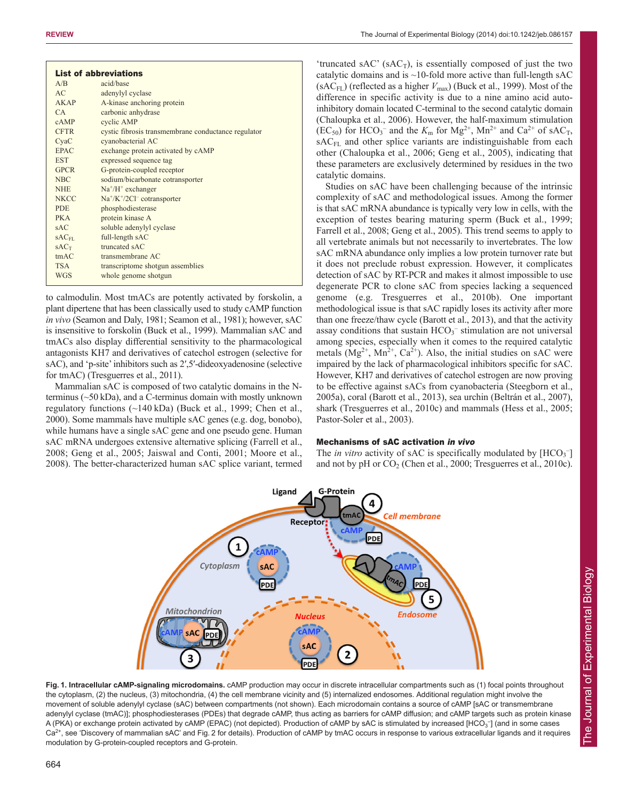|                  | <b>List of abbreviations</b>                        |
|------------------|-----------------------------------------------------|
| A/B              | acid/base                                           |
| AC               | adenylyl cyclase                                    |
| AKAP             | A-kinase anchoring protein                          |
| CA               | carbonic anhydrase                                  |
| cAMP             | cyclic AMP                                          |
| <b>CFTR</b>      | cystic fibrosis transmembrane conductance regulator |
| CyaC             | cyanobacterial AC                                   |
| <b>EPAC</b>      | exchange protein activated by cAMP                  |
| <b>EST</b>       | expressed sequence tag                              |
| <b>GPCR</b>      | G-protein-coupled receptor                          |
| <b>NBC</b>       | sodium/bicarbonate cotransporter                    |
| <b>NHE</b>       | $Na^+/H^+$ exchanger                                |
| <b>NKCC</b>      | $Na^+/K^+/2Cl^-$ cotransporter                      |
| <b>PDE</b>       | phosphodiesterase                                   |
| PK A             | protein kinase A                                    |
| SAC              | soluble adenylyl cyclase                            |
| $SAC_{FL}$       | full-length sAC                                     |
| SAC <sub>T</sub> | truncated sAC                                       |
| tmAC             | transmembrane AC                                    |
| <b>TSA</b>       | transcriptome shotgun assemblies                    |
| <b>WGS</b>       | whole genome shotgun                                |
|                  |                                                     |

to calmodulin. Most tmACs are potently activated by forskolin, a plant dipertene that has been classically used to study cAMP function *in vivo* (Seamon and Daly, 1981; Seamon et al., 1981); however, sAC is insensitive to forskolin (Buck et al., 1999). Mammalian sAC and tmACs also display differential sensitivity to the pharmacological antagonists KH7 and derivatives of catechol estrogen (selective for sAC), and 'p-site' inhibitors such as 2',5'-dideoxyadenosine (selective for tmAC) (Tresguerres et al., 2011).

Mammalian sAC is composed of two catalytic domains in the Nterminus (~50 kDa), and a C-terminus domain with mostly unknown regulatory functions (~140 kDa) (Buck et al., 1999; Chen et al., 2000). Some mammals have multiple sAC genes (e.g. dog, bonobo), while humans have a single sAC gene and one pseudo gene. Human sAC mRNA undergoes extensive alternative splicing (Farrell et al., 2008; Geng et al., 2005; Jaiswal and Conti, 2001; Moore et al., 2008). The better-characterized human sAC splice variant, termed

'truncated sAC' (sAC<sub>T</sub>), is essentially composed of just the two catalytic domains and is  $\sim$ 10-fold more active than full-length sAC (sAC<sub>FL</sub>) (reflected as a higher  $V_{\text{max}}$ ) (Buck et al., 1999). Most of the difference in specific activity is due to a nine amino acid autoinhibitory domain located C-terminal to the second catalytic domain (Chaloupka et al., 2006). However, the half-maximum stimulation  $(EC_{50})$  for  $HCO_3^-$  and the  $K_m$  for  $Mg^{2+}$ ,  $Mn^{2+}$  and  $Ca^{2+}$  of sAC<sub>T</sub>, sAC<sub>FL</sub> and other splice variants are indistinguishable from each other (Chaloupka et al., 2006; Geng et al., 2005), indicating that these parameters are exclusively determined by residues in the two catalytic domains.

Studies on sAC have been challenging because of the intrinsic complexity of sAC and methodological issues. Among the former is that sAC mRNA abundance is typically very low in cells, with the exception of testes bearing maturing sperm (Buck et al., 1999; Farrell et al., 2008; Geng et al., 2005). This trend seems to apply to all vertebrate animals but not necessarily to invertebrates. The low sAC mRNA abundance only implies a low protein turnover rate but it does not preclude robust expression. However, it complicates detection of sAC by RT-PCR and makes it almost impossible to use degenerate PCR to clone sAC from species lacking a sequenced genome (e.g. Tresguerres et al., 2010b). One important methodological issue is that sAC rapidly loses its activity after more than one freeze/thaw cycle (Barott et al., 2013), and that the activity assay conditions that sustain  $HCO_3^-$  stimulation are not universal among species, especially when it comes to the required catalytic metals  $(Mg^{2+}, Mn^{2+}, Ca^{2+})$ . Also, the initial studies on sAC were impaired by the lack of pharmacological inhibitors specific for sAC. However, KH7 and derivatives of catechol estrogen are now proving to be effective against sACs from cyanobacteria (Steegborn et al., 2005a), coral (Barott et al., 2013), sea urchin (Beltrán et al., 2007), shark (Tresguerres et al., 2010c) and mammals (Hess et al., 2005; Pastor-Soler et al., 2003).

# Mechanisms of sAC activation in vivo

The *in vitro* activity of sAC is specifically modulated by [HCO<sub>3</sub><sup>-</sup>] and not by pH or  $CO_2$  (Chen et al., 2000; Tresguerres et al., 2010c).



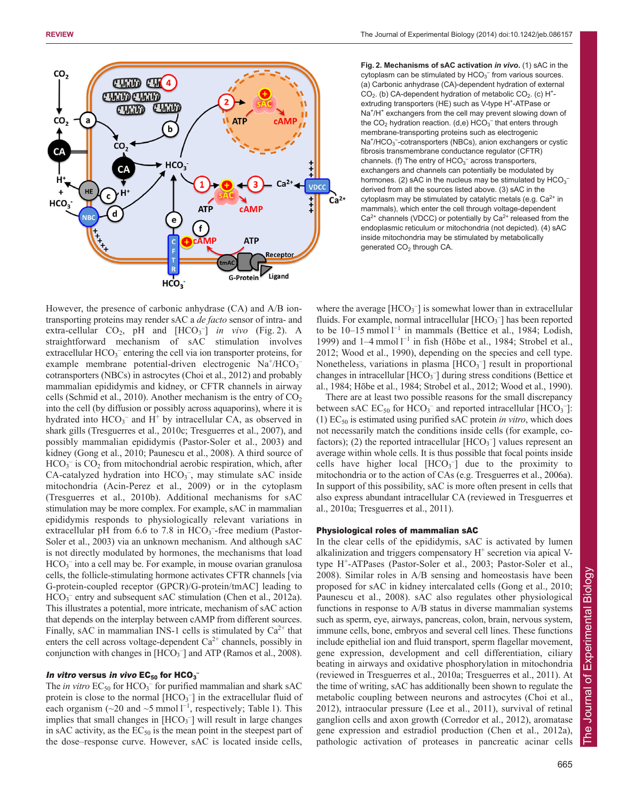

**Fig. 2. Mechanisms of sAC activation** *in vivo***.** (1) sAC in the cytoplasm can be stimulated by  $HCO<sub>3</sub><sup>-</sup>$  from various sources. (a) Carbonic anhydrase (CA)-dependent hydration of external  $CO<sub>2</sub>$ . (b) CA-dependent hydration of metabolic  $CO<sub>2</sub>$ . (c) H<sup>+</sup>extruding transporters (HE) such as V-type H<sup>+</sup>-ATPase or Na<sup>+</sup>/H<sup>+</sup> exchangers from the cell may prevent slowing down of the  $CO<sub>2</sub>$  hydration reaction. (d,e)  $HCO<sub>3</sub><sup>-</sup>$  that enters through membrane-transporting proteins such as electrogenic Na<sup>+</sup>/HCO<sub>3</sub><sup>-</sup>-cotransporters (NBCs), anion exchangers or cystic fibrosis transmembrane conductance regulator (CFTR) channels. (f) The entry of  $HCO<sub>3</sub><sup>-</sup>$  across transporters, exchangers and channels can potentially be modulated by hormones. (2) sAC in the nucleus may be stimulated by  $HCO<sub>3</sub>$ derived from all the sources listed above. (3) sAC in the cytoplasm may be stimulated by catalytic metals (e.g.  $Ca^{2+}$  in mammals), which enter the cell through voltage-dependent  $Ca<sup>2+</sup>$  channels (VDCC) or potentially by  $Ca<sup>2+</sup>$  released from the endoplasmic reticulum or mitochondria (not depicted). (4) sAC inside mitochondria may be stimulated by metabolically generated CO<sub>2</sub> through CA.

However, the presence of carbonic anhydrase (CA) and A/B iontransporting proteins may render sAC a *de facto* sensor of intra- and extra-cellular  $CO_2$ , pH and  $[HCO_3^-]$  *in vivo* (Fig. 2). A straightforward mechanism of sAC stimulation involves extracellular HCO<sub>3</sub><sup>-</sup> entering the cell via ion transporter proteins, for example membrane potential-driven electrogenic Na<sup>+</sup>/HCO<sub>3</sub> cotransporters (NBCs) in astrocytes (Choi et al., 2012) and probably mammalian epididymis and kidney, or CFTR channels in airway cells (Schmid et al., 2010). Another mechanism is the entry of  $CO<sub>2</sub>$ into the cell (by diffusion or possibly across aquaporins), where it is hydrated into  $HCO_3^-$  and  $H^+$  by intracellular CA, as observed in shark gills (Tresguerres et al., 2010c; Tresguerres et al., 2007), and possibly mammalian epididymis (Pastor-Soler et al., 2003) and kidney (Gong et al., 2010; Paunescu et al., 2008). A third source of  $HCO<sub>3</sub>$ <sup>-</sup> is  $CO<sub>2</sub>$  from mitochondrial aerobic respiration, which, after CA-catalyzed hydration into HCO<sub>3</sub><sup>-</sup>, may stimulate sAC inside mitochondria (Acin-Perez et al., 2009) or in the cytoplasm (Tresguerres et al., 2010b). Additional mechanisms for sAC stimulation may be more complex. For example, sAC in mammalian epididymis responds to physiologically relevant variations in extracellular pH from 6.6 to 7.8 in  $HCO<sub>3</sub>$ -free medium (Pastor-Soler et al., 2003) via an unknown mechanism. And although sAC is not directly modulated by hormones, the mechanisms that load HCO<sub>3</sub><sup>-</sup> into a cell may be. For example, in mouse ovarian granulosa cells, the follicle-stimulating hormone activates CFTR channels [via G-protein-coupled receptor (GPCR)/G-protein/tmAC] leading to HCO<sub>3</sub><sup>-</sup> entry and subsequent sAC stimulation (Chen et al., 2012a). This illustrates a potential, more intricate, mechanism of sAC action that depends on the interplay between cAMP from different sources. Finally, sAC in mammalian INS-1 cells is stimulated by  $Ca^{2+}$  that enters the cell across voltage-dependent  $Ca^{2+}$  channels, possibly in conjunction with changes in  $[HCO<sub>3</sub><sup>-</sup>]$  and ATP (Ramos et al., 2008).

### In vitro versus *in vivo* EC<sub>50</sub> for HCO $_3$ <sup>-</sup>

The *in vitro*  $EC_{50}$  for  $HCO_3^-$  for purified mammalian and shark sAC protein is close to the normal  $[HCO<sub>3</sub><sup>-</sup>]$  in the extracellular fluid of each organism ( $\sim$ 20 and  $\sim$ 5 mmol  $1^{-1}$ , respectively; Table 1). This implies that small changes in  $[HCO<sub>3</sub><sup>-</sup>]$  will result in large changes in sAC activity, as the  $EC_{50}$  is the mean point in the steepest part of the dose–response curve. However, sAC is located inside cells,

where the average  $[HCO<sub>3</sub><sup>-</sup>]$  is somewhat lower than in extracellular fluids. For example, normal intracellular [HCO<sub>3</sub><sup>-</sup>] has been reported to be  $10-15$  mmol  $1^{-1}$  in mammals (Bettice et al., 1984; Lodish, 1999) and  $1-4$  mmol  $1^{-1}$  in fish (Hōbe et al., 1984; Strobel et al., 2012; Wood et al., 1990), depending on the species and cell type. Nonetheless, variations in plasma  $[HCO<sub>3</sub><sup>-</sup>]$  result in proportional changes in intracellular [HCO<sub>3</sub><sup>-</sup>] during stress conditions (Bettice et al., 1984; Hōbe et al., 1984; Strobel et al., 2012; Wood et al., 1990).

There are at least two possible reasons for the small discrepancy between sAC  $EC_{50}$  for  $HCO_3^-$  and reported intracellular [ $HCO_3^-$ ]: (1)  $EC_{50}$  is estimated using purified sAC protein *in vitro*, which does not necessarily match the conditions inside cells (for example, cofactors); (2) the reported intracellular  $[HCO<sub>3</sub>^-]$  values represent an average within whole cells. It is thus possible that focal points inside cells have higher local  $[HCO<sub>3</sub><sup>-</sup>]$  due to the proximity to mitochondria or to the action of CAs (e.g. Tresguerres et al., 2006a). In support of this possibility, sAC is more often present in cells that also express abundant intracellular CA (reviewed in Tresguerres et al., 2010a; Tresguerres et al., 2011).

### Physiological roles of mammalian sAC

In the clear cells of the epididymis, sAC is activated by lumen alkalinization and triggers compensatory  $H^+$  secretion via apical Vtype H+-ATPases (Pastor-Soler et al., 2003; Pastor-Soler et al., 2008). Similar roles in A/B sensing and homeostasis have been proposed for sAC in kidney intercalated cells (Gong et al., 2010; Paunescu et al., 2008). sAC also regulates other physiological functions in response to A/B status in diverse mammalian systems such as sperm, eye, airways, pancreas, colon, brain, nervous system, immune cells, bone, embryos and several cell lines. These functions include epithelial ion and fluid transport, sperm flagellar movement, gene expression, development and cell differentiation, ciliary beating in airways and oxidative phosphorylation in mitochondria (reviewed in Tresguerres et al., 2010a; Tresguerres et al., 2011). At the time of writing, sAC has additionally been shown to regulate the metabolic coupling between neurons and astrocytes (Choi et al., 2012), intraocular pressure (Lee et al., 2011), survival of retinal ganglion cells and axon growth (Corredor et al., 2012), aromatase gene expression and estradiol production (Chen et al., 2012a), pathologic activation of proteases in pancreatic acinar cells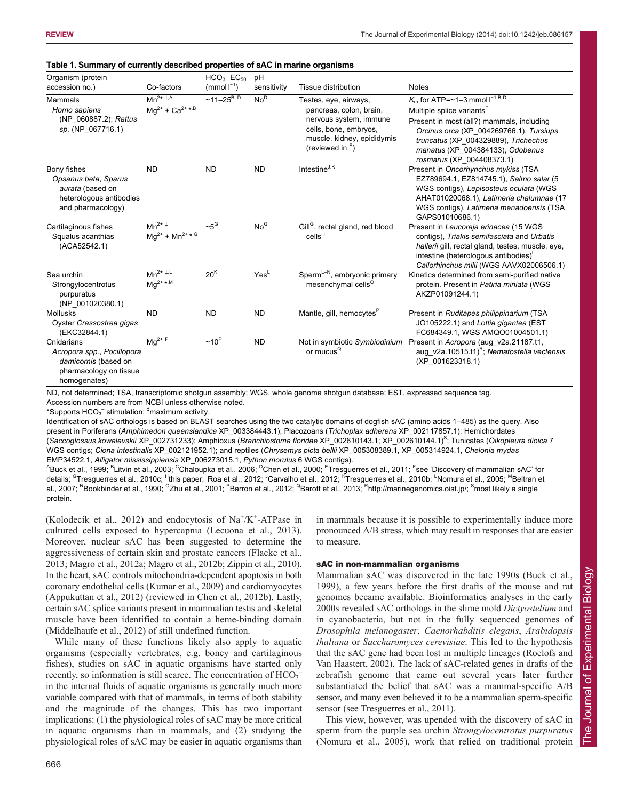| Organism (protein                                                                                          |                                                                        | $HCO3- EC50$     | pH               |                                                                                                                                                         |                                                                                                                                                                                                                                                                                  |
|------------------------------------------------------------------------------------------------------------|------------------------------------------------------------------------|------------------|------------------|---------------------------------------------------------------------------------------------------------------------------------------------------------|----------------------------------------------------------------------------------------------------------------------------------------------------------------------------------------------------------------------------------------------------------------------------------|
| accession no.)                                                                                             | Co-factors                                                             | $(mmol-1)$       | sensitivity      | Tissue distribution                                                                                                                                     | <b>Notes</b>                                                                                                                                                                                                                                                                     |
| Mammals<br>Homo sapiens<br>(NP 060887.2); Rattus<br>sp. (NP 067716.1)                                      | $Mn^{\overline{2+ \ddagger, A}}$<br>$Mg^{2+} + Ca^{2+*,B}$             | $~11 - 25^{B-D}$ | No <sup>D</sup>  | Testes, eye, airways,<br>pancreas, colon, brain,<br>nervous system, immune<br>cells, bone, embryos,<br>muscle, kidney, epididymis<br>(reviewed in $E$ ) | $K_m$ for ATP=~1-3 mmol $I^{-1}$ $B-D$<br>Multiple splice variants <sup>F</sup><br>Present in most (all?) mammals, including<br>Orcinus orca (XP 004269766.1), Tursiups<br>truncatus (XP 004329889), Trichechus<br>manatus (XP 004384133), Odobenus<br>rosmarus (XP 004408373.1) |
| Bony fishes<br>Opsanus beta, Sparus<br>aurata (based on<br>heterologous antibodies<br>and pharmacology)    | <b>ND</b>                                                              | <b>ND</b>        | <b>ND</b>        | Intestine <sup>J,K</sup>                                                                                                                                | Present in Oncorhynchus mykiss (TSA<br>EZ789694.1, EZ814745.1), Salmo salar (5<br>WGS contigs), Lepisosteus oculata (WGS<br>AHAT01020068.1), Latimeria chalumnae (17<br>WGS contigs), Latimeria menadoensis (TSA<br>GAPS01010686.1)                                              |
| Cartilaginous fishes<br>Squalus acanthias<br>(ACA52542.1)                                                  | $Mn^{2+1}$<br>$\text{Mg}^{2^+}$ + $\text{Mn}^{2^+ \, \star, \text{G}}$ | $~10^{\circ}$    | No <sup>G</sup>  | Gill <sup>G</sup> , rectal gland, red blood<br>cells <sup>H</sup>                                                                                       | Present in Leucoraja erinacea (15 WGS<br>contigs), Triakis semifasciata and Urbatis<br>hallerii gill, rectal gland, testes, muscle, eye,<br>intestine (heterologous antibodies)'<br>Callorhinchus milii (WGS AAVX02006506.1)                                                     |
| Sea urchin<br>Strongylocentrotus<br>purpuratus<br>(NP 001020380.1)                                         | $Mn^{2+1,L}$<br>$Mq^{2+*,M}$                                           | 20 <sup>K</sup>  | Yes <sup>L</sup> | Sperm <sup><math>L-N</math></sup> , embryonic primary<br>mesenchymal cells <sup>O</sup>                                                                 | Kinetics determined from semi-purified native<br>protein. Present in Patiria miniata (WGS<br>AKZP01091244.1)                                                                                                                                                                     |
| <b>Mollusks</b><br>Oyster Crassostrea gigas<br>(EKC32844.1)                                                | <b>ND</b>                                                              | <b>ND</b>        | <b>ND</b>        | Mantle, gill, hemocytes <sup>P</sup>                                                                                                                    | Present in Ruditapes philippinarium (TSA<br>JO105222.1) and Lottia gigantea (EST<br>FC684349.1, WGS AMQO01004501.1)                                                                                                                                                              |
| Cnidarians<br>Acropora spp., Pocillopora<br>damicornis (based on<br>pharmacology on tissue<br>homogenates) | $Mg^{2+P}$                                                             | $~10^{\circ}$    | <b>ND</b>        | Not in symbiotic Symbiodinium<br>or mucus <sup>Q</sup>                                                                                                  | Present in Acropora (aug v2a.21187.t1,<br>aug_v2a.10515.t1) <sup>R</sup> ; Nematostella vectensis<br>(XP 001623318.1)                                                                                                                                                            |

#### **Table 1. Summary of currently described properties of sAC in marine organisms**

ND, not determined; TSA, transcriptomic shotgun assembly; WGS, whole genome shotgun database; EST, expressed sequence tag. Accession numbers are from NCBI unless otherwise noted.

\*Supports  $HCO<sub>3</sub><sup>-</sup>$  stimulation;  $<sup>‡</sup>$ maximum activity.</sup>

Identification of sAC orthologs is based on BLAST searches using the two catalytic domains of dogfish sAC (amino acids 1–485) as the query. Also present in Poriferans (*Amphimedon queenslandica* XP\_003384443.1); Placozoans (*Trichoplax adherens* XP\_002117857.1); Hemichordates (*Saccoglossus kowalevskii* XP\_002731233); Amphioxus (*Branchiostoma floridae* XP\_002610143.1; XP\_002610144.1)<sup>S</sup> ; Tunicates (*Oikopleura dioica* 7 WGS contigs; *Ciona intestinalis* XP\_002121952.1); and reptiles (*Chrysemys picta bellii* XP\_005308389.1, XP\_005314924.1, *Chelonia mydas* EMP34522.1, *Alligator mississippiensis* XP\_006273015.1, *Python morulus* 6 WGS contigs). A

Buck et al., 1999; <sup>B</sup>Litvin et al., 2003; <sup>C</sup>Chaloupka et al., 2006; <sup>D</sup>Chen et al., 2000; <sup>E</sup>Tresguerres et al., 2011; <sup>F</sup>see 'Discovery of mammalian sAC' for details; <sup>G</sup>Tresguerres et al., 2010c; <sup>H</sup>this paper; <sup>I</sup>Roa et al., 2012; <sup>J</sup>Carvalho et al., 2012; <sup>K</sup>Tresguerres et al., 2010b; <sup>L</sup>Nomura et al., 2005; <sup>M</sup>Beltran et al., 2007; <sup>N</sup>Bookbinder et al., 1990; <sup>O</sup>Zhu et al., 2001; <sup>P</sup>Barron et al., 2012; <sup>Q</sup>Barott et al., 2013; <sup>R</sup>http://marinegenomics.oist.jp/; <sup>S</sup>most likely a single protein.

(Kolodecik et al., 2012) and endocytosis of  $Na^+/K^+$ -ATPase in cultured cells exposed to hypercapnia (Lecuona et al., 2013). Moreover, nuclear sAC has been suggested to determine the aggressiveness of certain skin and prostate cancers (Flacke et al., 2013; Magro et al., 2012a; Magro et al., 2012b; Zippin et al., 2010). In the heart, sAC controls mitochondria-dependent apoptosis in both coronary endothelial cells (Kumar et al., 2009) and cardiomyocytes (Appukuttan et al., 2012) (reviewed in Chen et al., 2012b). Lastly, certain sAC splice variants present in mammalian testis and skeletal muscle have been identified to contain a heme-binding domain (Middelhaufe et al., 2012) of still undefined function.

While many of these functions likely also apply to aquatic organisms (especially vertebrates, e.g. boney and cartilaginous fishes), studies on sAC in aquatic organisms have started only recently, so information is still scarce. The concentration of HCO<sub>3</sub><sup>-</sup> in the internal fluids of aquatic organisms is generally much more variable compared with that of mammals, in terms of both stability and the magnitude of the changes. This has two important implications: (1) the physiological roles of sAC may be more critical in aquatic organisms than in mammals, and (2) studying the physiological roles of sAC may be easier in aquatic organisms than in mammals because it is possible to experimentally induce more pronounced A/B stress, which may result in responses that are easier to measure.

# sAC in non-mammalian organisms

Mammalian sAC was discovered in the late 1990s (Buck et al., 1999), a few years before the first drafts of the mouse and rat genomes became available. Bioinformatics analyses in the early 2000s revealed sAC orthologs in the slime mold *Dictyostelium* and in cyanobacteria, but not in the fully sequenced genomes of *Drosophila melanogaster*, *Caenorhabditis elegans*, *Arabidopsis thaliana* or *Saccharomyces cerevisiae*. This led to the hypothesis that the sAC gene had been lost in multiple lineages (Roelofs and Van Haastert, 2002). The lack of sAC-related genes in drafts of the zebrafish genome that came out several years later further substantiated the belief that sAC was a mammal-specific A/B sensor, and many even believed it to be a mammalian sperm-specific sensor (see Tresguerres et al., 2011).

This view, however, was upended with the discovery of sAC in sperm from the purple sea urchin *Strongylocentrotus purpuratus* (Nomura et al., 2005), work that relied on traditional protein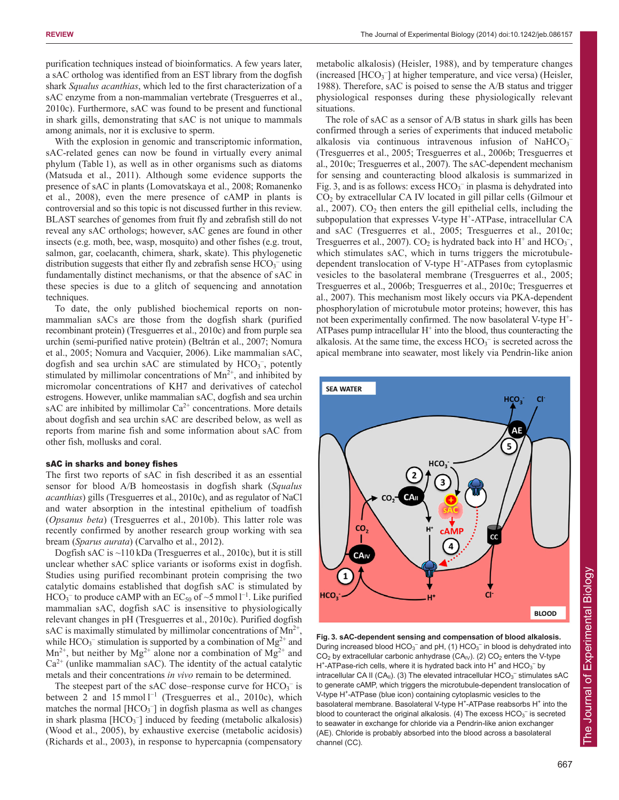purification techniques instead of bioinformatics. A few years later, a sAC ortholog was identified from an EST library from the dogfish shark *Squalus acanthias*, which led to the first characterization of a sAC enzyme from a non-mammalian vertebrate (Tresguerres et al., 2010c). Furthermore, sAC was found to be present and functional in shark gills, demonstrating that sAC is not unique to mammals among animals, nor it is exclusive to sperm.

With the explosion in genomic and transcriptomic information, sAC-related genes can now be found in virtually every animal phylum (Table 1), as well as in other organisms such as diatoms (Matsuda et al., 2011). Although some evidence supports the presence of sAC in plants (Lomovatskaya et al., 2008; Romanenko et al., 2008), even the mere presence of cAMP in plants is controversial and so this topic is not discussed further in this review. BLAST searches of genomes from fruit fly and zebrafish still do not reveal any sAC orthologs; however, sAC genes are found in other insects (e.g. moth, bee, wasp, mosquito) and other fishes (e.g. trout, salmon, gar, coelacanth, chimera, shark, skate). This phylogenetic distribution suggests that either fly and zebrafish sense  $HCO<sub>3</sub><sup>-</sup>$  using fundamentally distinct mechanisms, or that the absence of sAC in these species is due to a glitch of sequencing and annotation techniques.

To date, the only published biochemical reports on nonmammalian sACs are those from the dogfish shark (purified recombinant protein) (Tresguerres et al., 2010c) and from purple sea urchin (semi-purified native protein) (Beltrán et al., 2007; Nomura et al., 2005; Nomura and Vacquier, 2006). Like mammalian sAC, dogfish and sea urchin sAC are stimulated by  $HCO<sub>3</sub><sup>-</sup>$ , potently stimulated by millimolar concentrations of  $Mn^{2+}$ , and inhibited by micromolar concentrations of KH7 and derivatives of catechol estrogens. However, unlike mammalian sAC, dogfish and sea urchin sAC are inhibited by millimolar  $Ca^{2+}$  concentrations. More details about dogfish and sea urchin sAC are described below, as well as reports from marine fish and some information about sAC from other fish, mollusks and coral.

#### sAC in sharks and boney fishes

The first two reports of sAC in fish described it as an essential sensor for blood A/B homeostasis in dogfish shark (*Squalus acanthias*) gills (Tresguerres et al., 2010c), and as regulator of NaCl and water absorption in the intestinal epithelium of toadfish (*Opsanus beta*) (Tresguerres et al., 2010b). This latter role was recently confirmed by another research group working with sea bream (*Sparus aurata*) (Carvalho et al., 2012).

Dogfish sAC is ~110 kDa (Tresguerres et al., 2010c), but it is still unclear whether sAC splice variants or isoforms exist in dogfish. Studies using purified recombinant protein comprising the two catalytic domains established that dogfish sAC is stimulated by  $HCO<sub>3</sub><sup>-</sup>$  to produce cAMP with an  $EC<sub>50</sub>$  of ~5 mmol  $l^{-1}$ . Like purified mammalian sAC, dogfish sAC is insensitive to physiologically relevant changes in pH (Tresguerres et al., 2010c). Purified dogfish sAC is maximally stimulated by millimolar concentrations of  $Mn^{2+}$ , while  $HCO_3^-$  stimulation is supported by a combination of  $Mg^{2+}$  and  $Mn^{2+}$ , but neither by  $Mg^{2+}$  alone nor a combination of  $Mg^{2+}$  and  $Ca<sup>2+</sup>$  (unlike mammalian sAC). The identity of the actual catalytic metals and their concentrations *in vivo* remain to be determined.

The steepest part of the sAC dose-response curve for  $HCO_3^-$  is between 2 and  $15$  mmol  $1^{-1}$  (Tresguerres et al., 2010c), which matches the normal  $[HCO_3^-]$  in dogfish plasma as well as changes in shark plasma [HCO<sub>3</sub><sup>-</sup>] induced by feeding (metabolic alkalosis) (Wood et al., 2005), by exhaustive exercise (metabolic acidosis) (Richards et al., 2003), in response to hypercapnia (compensatory

metabolic alkalosis) (Heisler, 1988), and by temperature changes (increased [HCO<sub>3</sub><sup>-</sup>] at higher temperature, and vice versa) (Heisler, 1988). Therefore, sAC is poised to sense the A/B status and trigger physiological responses during these physiologically relevant situations.

The role of sAC as a sensor of A/B status in shark gills has been confirmed through a series of experiments that induced metabolic alkalosis via continuous intravenous infusion of NaHCO<sub>3</sub> (Tresguerres et al., 2005; Tresguerres et al., 2006b; Tresguerres et al., 2010c; Tresguerres et al., 2007). The sAC-dependent mechanism for sensing and counteracting blood alkalosis is summarized in Fig. 3, and is as follows: excess  $HCO_3^-$  in plasma is dehydrated into  $CO<sub>2</sub>$  by extracellular CA IV located in gill pillar cells (Gilmour et al.,  $2007$ ).  $CO<sub>2</sub>$  then enters the gill epithelial cells, including the subpopulation that expresses V-type  $H^+$ -ATPase, intracellular CA and sAC (Tresguerres et al., 2005; Tresguerres et al., 2010c; Tresguerres et al., 2007).  $CO_2$  is hydrated back into H<sup>+</sup> and HCO<sub>3</sub><sup>-</sup>, which stimulates sAC, which in turns triggers the microtubuledependent translocation of V-type H+-ATPases from cytoplasmic vesicles to the basolateral membrane (Tresguerres et al., 2005; Tresguerres et al., 2006b; Tresguerres et al., 2010c; Tresguerres et al., 2007). This mechanism most likely occurs via PKA-dependent phosphorylation of microtubule motor proteins; however, this has not been experimentally confirmed. The now basolateral V-type H<sup>+</sup>-ATPases pump intracellular  $H^+$  into the blood, thus counteracting the alkalosis. At the same time, the excess  $HCO<sub>3</sub><sup>-</sup>$  is secreted across the apical membrane into seawater, most likely via Pendrin-like anion



**Fig. 3. sAC-dependent sensing and compensation of blood alkalosis.** During increased blood  $HCO<sub>3</sub><sup>-</sup>$  and pH, (1)  $HCO<sub>3</sub><sup>-</sup>$  in blood is dehydrated into  $CO<sub>2</sub>$  by extracellular carbonic anhydrase (CA<sub>IV</sub>). (2)  $CO<sub>2</sub>$  enters the V-type H<sup>+</sup>-ATPase-rich cells, where it is hydrated back into H<sup>+</sup> and  $HCO<sub>3</sub><sup>-</sup>$  by intracellular CA II (CA<sub>II</sub>). (3) The elevated intracellular  $HCO<sub>3</sub><sup>-</sup>$  stimulates sAC to generate cAMP, which triggers the microtubule-dependent translocation of V-type H<sup>+</sup>-ATPase (blue icon) containing cytoplasmic vesicles to the basolateral membrane. Basolateral V-type H<sup>+</sup>-ATPase reabsorbs H<sup>+</sup> into the blood to counteract the original alkalosis. (4) The excess  $HCO<sub>3</sub><sup>-</sup>$  is secreted to seawater in exchange for chloride via a Pendrin-like anion exchanger (AE). Chloride is probably absorbed into the blood across a basolateral channel (CC).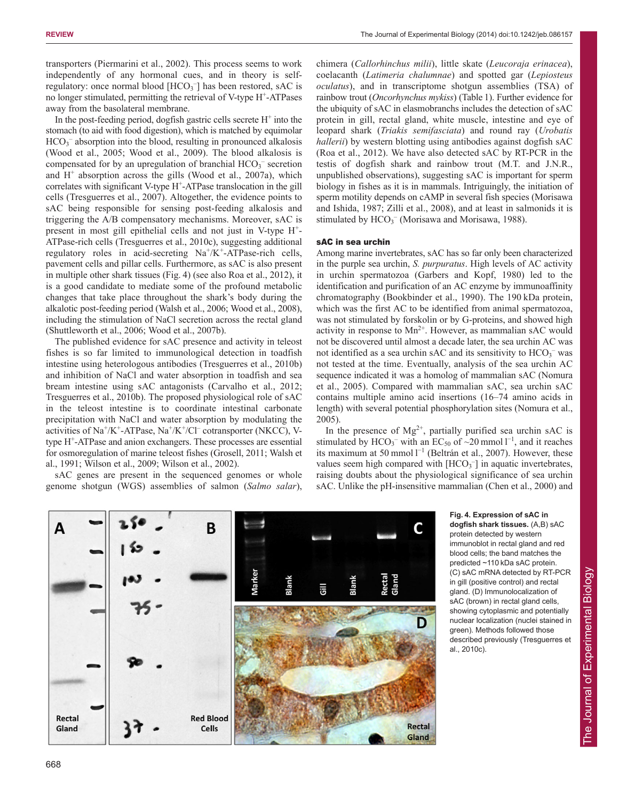transporters (Piermarini et al., 2002). This process seems to work independently of any hormonal cues, and in theory is selfregulatory: once normal blood  $[HCO<sub>3</sub><sup>-</sup>]$  has been restored, sAC is no longer stimulated, permitting the retrieval of V-type H<sup>+</sup>-ATPases away from the basolateral membrane.

In the post-feeding period, dogfish gastric cells secrete  $H^+$  into the stomach (to aid with food digestion), which is matched by equimolar HCO<sub>3</sub><sup>-</sup> absorption into the blood, resulting in pronounced alkalosis (Wood et al., 2005; Wood et al., 2009). The blood alkalosis is compensated for by an upregulation of branchial HCO<sub>3</sub><sup>-</sup> secretion and  $H^+$  absorption across the gills (Wood et al., 2007a), which correlates with significant V-type H<sup>+</sup>-ATPase translocation in the gill cells (Tresguerres et al., 2007). Altogether, the evidence points to sAC being responsible for sensing post-feeding alkalosis and triggering the A/B compensatory mechanisms. Moreover, sAC is present in most gill epithelial cells and not just in V-type H+- ATPase-rich cells (Tresguerres et al., 2010c), suggesting additional regulatory roles in acid-secreting  $Na^+/K^+$ -ATPase-rich cells, pavement cells and pillar cells. Furthermore, as sAC is also present in multiple other shark tissues (Fig. 4) (see also Roa et al., 2012), it is a good candidate to mediate some of the profound metabolic changes that take place throughout the shark's body during the alkalotic post-feeding period (Walsh et al., 2006; Wood et al., 2008), including the stimulation of NaCl secretion across the rectal gland (Shuttleworth et al., 2006; Wood et al., 2007b).

The published evidence for sAC presence and activity in teleost fishes is so far limited to immunological detection in toadfish intestine using heterologous antibodies (Tresguerres et al., 2010b) and inhibition of NaCl and water absorption in toadfish and sea bream intestine using sAC antagonists (Carvalho et al., 2012; Tresguerres et al., 2010b). The proposed physiological role of sAC in the teleost intestine is to coordinate intestinal carbonate precipitation with NaCl and water absorption by modulating the activities of Na<sup>+</sup>/K<sup>+</sup>-ATPase, Na<sup>+</sup>/K<sup>+</sup>/Cl<sup>-</sup> cotransporter (NKCC), Vtype H+ -ATPase and anion exchangers. These processes are essential for osmoregulation of marine teleost fishes (Grosell, 2011; Walsh et al., 1991; Wilson et al., 2009; Wilson et al., 2002).

sAC genes are present in the sequenced genomes or whole genome shotgun (WGS) assemblies of salmon (*Salmo salar*),

chimera (*Callorhinchus milii*), little skate (*Leucoraja erinacea*), coelacanth (*Latimeria chalumnae*) and spotted gar (*Lepiosteus oculatus*), and in transcriptome shotgun assemblies (TSA) of rainbow trout (*Oncorhynchus mykiss*) (Table 1). Further evidence for the ubiquity of sAC in elasmobranchs includes the detection of sAC protein in gill, rectal gland, white muscle, intestine and eye of leopard shark (*Triakis semifasciata*) and round ray (*Urobatis hallerii*) by western blotting using antibodies against dogfish sAC (Roa et al., 2012). We have also detected sAC by RT-PCR in the testis of dogfish shark and rainbow trout (M.T. and J.N.R., unpublished observations), suggesting sAC is important for sperm biology in fishes as it is in mammals. Intriguingly, the initiation of sperm motility depends on cAMP in several fish species (Morisawa and Ishida, 1987; Zilli et al., 2008), and at least in salmonids it is stimulated by  $HCO<sub>3</sub><sup>-</sup>$  (Morisawa and Morisawa, 1988).

## sAC in sea urchin

Among marine invertebrates, sAC has so far only been characterized in the purple sea urchin, *S. purpuratus*. High levels of AC activity in urchin spermatozoa (Garbers and Kopf, 1980) led to the identification and purification of an AC enzyme by immunoaffinity chromatography (Bookbinder et al., 1990). The 190 kDa protein, which was the first AC to be identified from animal spermatozoa, was not stimulated by forskolin or by G-proteins, and showed high activity in response to  $Mn^{2+}$ . However, as mammalian sAC would not be discovered until almost a decade later, the sea urchin AC was not identified as a sea urchin sAC and its sensitivity to  $HCO_3^-$  was not tested at the time. Eventually, analysis of the sea urchin AC sequence indicated it was a homolog of mammalian sAC (Nomura et al., 2005). Compared with mammalian sAC, sea urchin sAC contains multiple amino acid insertions (16–74 amino acids in length) with several potential phosphorylation sites (Nomura et al., 2005).

In the presence of  $Mg^{2+}$ , partially purified sea urchin sAC is stimulated by  $HCO_3^-$  with an EC<sub>50</sub> of ~20 mmol  $l^{-1}$ , and it reaches its maximum at 50 mmol  $l^{-1}$  (Beltrán et al., 2007). However, these values seem high compared with  $[HCO<sub>3</sub>^-]$  in aquatic invertebrates, raising doubts about the physiological significance of sea urchin sAC. Unlike the pH-insensitive mammalian (Chen et al., 2000) and



**Fig. 4. Expression of sAC in dogfish shark tissues.** (A,B) sAC protein detected by western immunoblot in rectal gland and red blood cells; the band matches the predicted ~110 kDa sAC protein. (C) sAC mRNA detected by RT-PCR in gill (positive control) and rectal gland. (D) Immunolocalization of sAC (brown) in rectal gland cells, showing cytoplasmic and potentially nuclear localization (nuclei stained in green). Methods followed those described previously (Tresguerres et al., 2010c).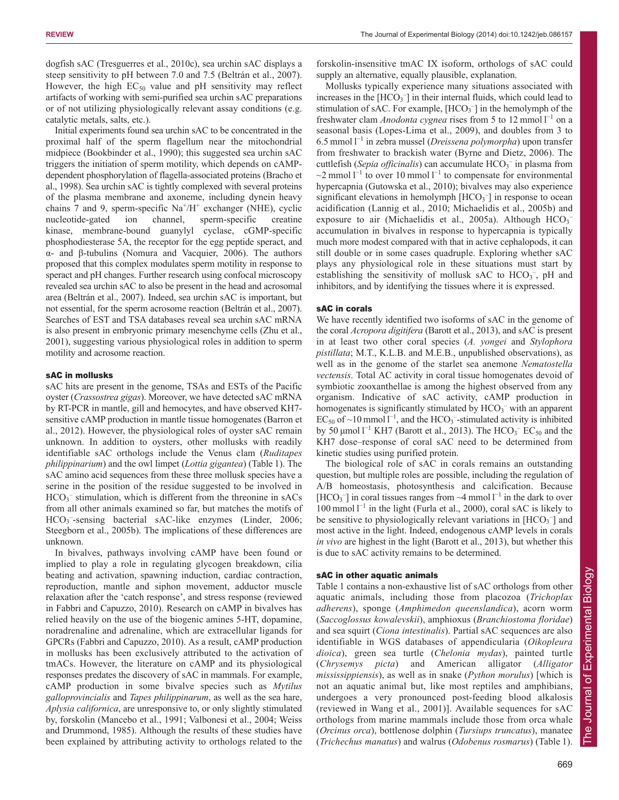dogfish sAC (Tresguerres et al., 2010c), sea urchin sAC displays a steep sensitivity to pH between 7.0 and 7.5 (Beltrán et al., 2007). However, the high  $EC_{50}$  value and pH sensitivity may reflect artifacts of working with semi-purified sea urchin sAC preparations or of not utilizing physiologically relevant assay conditions (e.g. catalytic metals, salts, etc.).

Initial experiments found sea urchin sAC to be concentrated in the proximal half of the sperm flagellum near the mitochondrial midpiece (Bookbinder et al., 1990); this suggested sea urchin sAC triggers the initiation of sperm motility, which depends on cAMPdependent phosphorylation of flagella-associated proteins (Bracho et al., 1998). Sea urchin sAC is tightly complexed with several proteins of the plasma membrane and axoneme, including dynein heavy chains 7 and 9, sperm-specific  $Na^{+}/H^{+}$  exchanger (NHE), cyclic nucleotide-gated ion channel, sperm-specific creatine kinase, membrane-bound guanylyl cyclase, cGMP-specific phosphodiesterase 5A, the receptor for the egg peptide speract, and α- and β-tubulins (Nomura and Vacquier, 2006). The authors proposed that this complex modulates sperm motility in response to speract and pH changes. Further research using confocal microscopy revealed sea urchin sAC to also be present in the head and acrosomal area (Beltrán et al., 2007). Indeed, sea urchin sAC is important, but not essential, for the sperm acrosome reaction (Beltrán et al., 2007). Searches of EST and TSA databases reveal sea urchin sAC mRNA is also present in embryonic primary mesenchyme cells (Zhu et al., 2001), suggesting various physiological roles in addition to sperm motility and acrosome reaction.

# sAC in mollusks

sAC hits are present in the genome, TSAs and ESTs of the Pacific oyster (*Crassostrea gigas*). Moreover, we have detected sAC mRNA by RT-PCR in mantle, gill and hemocytes, and have observed KH7 sensitive cAMP production in mantle tissue homogenates (Barron et al., 2012). However, the physiological roles of oyster sAC remain unknown. In addition to oysters, other mollusks with readily identifiable sAC orthologs include the Venus clam (*Ruditapes philippinarium*) and the owl limpet (*Lottia gigantea*) (Table 1). The sAC amino acid sequences from these three mollusk species have a serine in the position of the residue suggested to be involved in  $HCO<sub>3</sub>$ <sup>-</sup> stimulation, which is different from the threonine in sACs from all other animals examined so far, but matches the motifs of HCO<sub>3</sub><sup>-</sup>-sensing bacterial sAC-like enzymes (Linder, 2006; Steegborn et al., 2005b). The implications of these differences are unknown.

In bivalves, pathways involving cAMP have been found or implied to play a role in regulating glycogen breakdown, cilia beating and activation, spawning induction, cardiac contraction, reproduction, mantle and siphon movement, adductor muscle relaxation after the 'catch response', and stress response (reviewed in Fabbri and Capuzzo, 2010). Research on cAMP in bivalves has relied heavily on the use of the biogenic amines 5-HT, dopamine, noradrenaline and adrenaline, which are extracellular ligands for GPCRs (Fabbri and Capuzzo, 2010). As a result, cAMP production in mollusks has been exclusively attributed to the activation of tmACs. However, the literature on cAMP and its physiological responses predates the discovery of sAC in mammals. For example, cAMP production in some bivalve species such as *Mytilus galloprovincialis* and *Tapes philippinarum*, as well as the sea hare, *Aplysia californica*, are unresponsive to, or only slightly stimulated by, forskolin (Mancebo et al., 1991; Valbonesi et al., 2004; Weiss and Drummond, 1985). Although the results of these studies have been explained by attributing activity to orthologs related to the

forskolin-insensitive tmAC IX isoform, orthologs of sAC could supply an alternative, equally plausible, explanation.

Mollusks typically experience many situations associated with increases in the [HCO<sub>3</sub><sup>-</sup>] in their internal fluids, which could lead to stimulation of sAC. For example,  $[HCO<sub>3</sub><sup>-</sup>]$  in the hemolymph of the freshwater clam *Anodonta cygnea* rises from 5 to 12 mmol  $l^{-1}$  on a seasonal basis (Lopes-Lima et al., 2009), and doubles from 3 to 6.5 mmol l <sup>−</sup><sup>1</sup> in zebra mussel (*Dreissena polymorpha*) upon transfer from freshwater to brackish water (Byrne and Dietz, 2006). The cuttlefish (Sepia officinalis) can accumulate HCO<sub>3</sub><sup>-</sup> in plasma from  $\sim$ 2 mmol l<sup>-1</sup> to over 10 mmol l<sup>-1</sup> to compensate for environmental hypercapnia (Gutowska et al., 2010); bivalves may also experience significant elevations in hemolymph  $[HCO<sub>3</sub><sup>-</sup>]$  in response to ocean acidification (Lannig et al., 2010; Michaelidis et al., 2005b) and exposure to air (Michaelidis et al., 2005a). Although  $HCO<sub>3</sub>$ accumulation in bivalves in response to hypercapnia is typically much more modest compared with that in active cephalopods, it can still double or in some cases quadruple. Exploring whether sAC plays any physiological role in these situations must start by establishing the sensitivity of mollusk sAC to  $HCO_3^-$ , pH and inhibitors, and by identifying the tissues where it is expressed.

# sAC in corals

We have recently identified two isoforms of sAC in the genome of the coral *Acropora digitifera* (Barott et al., 2013), and sAC is present in at least two other coral species (*A. yongei* and *Stylophora pistillata*; M.T., K.L.B. and M.E.B., unpublished observations), as well as in the genome of the starlet sea anemone *Nematostella vectensis*. Total AC activity in coral tissue homogenates devoid of symbiotic zooxanthellae is among the highest observed from any organism. Indicative of sAC activity, cAMP production in homogenates is significantly stimulated by  $HCO_3^-$  with an apparent  $EC_{50}$  of ~10 mmol  $1^{-1}$ , and the  $HCO_3^-$ -stimulated activity is inhibited by 50  $\mu$ mol l<sup>-1</sup> KH7 (Barott et al., 2013). The HCO<sub>3</sub><sup>-</sup> EC<sub>50</sub> and the KH7 dose–response of coral sAC need to be determined from kinetic studies using purified protein.

The biological role of sAC in corals remains an outstanding question, but multiple roles are possible, including the regulation of A/B homeostasis, photosynthesis and calcification. Because [HCO<sub>3</sub><sup>-</sup>] in coral tissues ranges from  $\sim$ 4 mmol  $1^{-1}$  in the dark to over 100 mmol  $l^{-1}$  in the light (Furla et al., 2000), coral sAC is likely to be sensitive to physiologically relevant variations in  $[HCO<sub>3</sub>^-]$  and most active in the light. Indeed, endogenous cAMP levels in corals *in vivo* are highest in the light (Barott et al., 2013), but whether this is due to sAC activity remains to be determined.

# sAC in other aquatic animals

Table 1 contains a non-exhaustive list of sAC orthologs from other aquatic animals, including those from placozoa (*Trichoplax adherens*), sponge (*Amphimedon queenslandica*), acorn worm (*Saccoglossus kowalevskii*), amphioxus (*Branchiostoma floridae*) and sea squirt (*Ciona intestinalis*). Partial sAC sequences are also identifiable in WGS databases of appendicularia (*Oikopleura dioica*), green sea turtle (*Chelonia mydas*), painted turtle (*Chrysemys picta*) and American alligator (*Alligator mississippiensis*), as well as in snake (*Python morulus*) [which is not an aquatic animal but, like most reptiles and amphibians, undergoes a very pronounced post-feeding blood alkalosis (reviewed in Wang et al., 2001)]. Available sequences for sAC orthologs from marine mammals include those from orca whale (*Orcinus orca*), bottlenose dolphin (*Tursiups truncatus*), manatee (*Trichechus manatus*) and walrus (*Odobenus rosmarus*) (Table 1).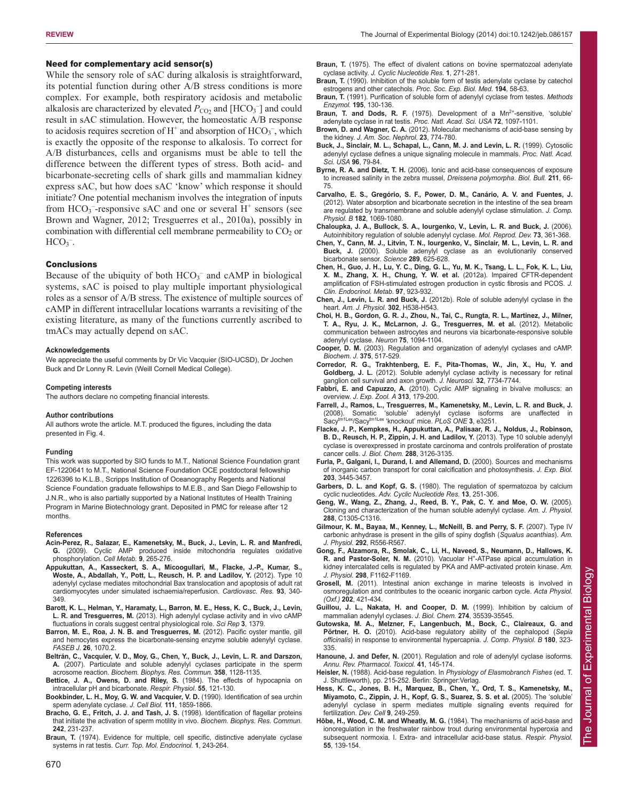## Need for complementary acid sensor(s)

While the sensory role of sAC during alkalosis is straightforward, its potential function during other A/B stress conditions is more complex. For example, both respiratory acidosis and metabolic alkalosis are characterized by elevated  $P_{\text{CO}_2}$  and  $[\text{HCO}_3^-]$  and could result in sAC stimulation. However, the homeostatic A/B response to acidosis requires secretion of  $H^+$  and absorption of  $HCO_3^-$ , which is exactly the opposite of the response to alkalosis. To correct for A/B disturbances, cells and organisms must be able to tell the difference between the different types of stress. Both acid- and bicarbonate-secreting cells of shark gills and mammalian kidney express sAC, but how does sAC 'know' which response it should initiate? One potential mechanism involves the integration of inputs from  $HCO_3$ <sup>-</sup>-responsive sAC and one or several  $H^+$  sensors (see Brown and Wagner, 2012; Tresguerres et al., 2010a), possibly in combination with differential cell membrane permeability to  $CO<sub>2</sub>$  or  $HCO<sub>3</sub>$ <sup>-</sup>.

#### **Conclusions**

Because of the ubiquity of both  $HCO_3^-$  and cAMP in biological systems, sAC is poised to play multiple important physiological roles as a sensor of A/B stress. The existence of multiple sources of cAMP in different intracellular locations warrants a revisiting of the existing literature, as many of the functions currently ascribed to tmACs may actually depend on sAC.

#### **Acknowledgements**

We appreciate the useful comments by Dr Vic Vacquier (SIO-UCSD), Dr Jochen Buck and Dr Lonny R. Levin (Weill Cornell Medical College).

#### **Competing interests**

The authors declare no competing financial interests.

#### **Author contributions**

All authors wrote the article. M.T. produced the figures, including the data presented in Fig. 4.

#### **Funding**

This work was supported by SIO funds to M.T., National Science Foundation grant EF-1220641 to M.T., National Science Foundation OCE postdoctoral fellowship 1226396 to K.L.B., Scripps Institution of Oceanography Regents and National Science Foundation graduate fellowships to M.E.B., and San Diego Fellowship to J.N.R., who is also partially supported by a National Institutes of Health Training Program in Marine Biotechnology grant. Deposited in PMC for release after 12 months.

#### **References**

- **Acin-Perez, R., Salazar, E., Kamenetsky, M., Buck, J., Levin, L. R. and Manfredi, G.** (2009). Cyclic AMP produced inside mitochondria regulates oxidative phosphorylation. *Cell Metab.* **9**, 265-276.
- **Appukuttan, A., Kasseckert, S. A., Micoogullari, M., Flacke, J.-P., Kumar, S., Woste, A., Abdallah, Y., Pott, L., Reusch, H. P. and Ladilov, Y.** (2012). Type 10 adenylyl cyclase mediates mitochondrial Bax translocation and apoptosis of adult rat cardiomyocytes under simulated ischaemia/reperfusion. *Cardiovasc. Res.* **93**, 340- 349.
- **Barott, K. L., Helman, Y., Haramaty, L., Barron, M. E., Hess, K. C., Buck, J., Levin, L. R. and Tresguerres, M.** (2013). High adenylyl cyclase activity and in vivo cAMP fluctuations in corals suggest central physiological role. *Sci Rep* **3**, 1379.
- **Barron, M. E., Roa, J. N. B. and Tresguerres, M.** (2012). Pacific oyster mantle, gill and hemocytes express the bicarbonate-sensing enzyme soluble adenylyl cyclase. *FASEB J.* **26**, 1070.2.
- **Beltrán, C., Vacquier, V. D., Moy, G., Chen, Y., Buck, J., Levin, L. R. and Darszon, A.** (2007). Particulate and soluble adenylyl cyclases participate in the sperm acrosome reaction. *Biochem. Biophys. Res. Commun.* **358**, 1128-1135.
- **Bettice, J. A., Owens, D. and Riley, S.** (1984). The effects of hypocapnia on intracellular pH and bicarbonate. *Respir. Physiol.* **55**, 121-130.
- **Bookbinder, L. H., Moy, G. W. and Vacquier, V. D.** (1990). Identification of sea urchin sperm adenylate cyclase. *J. Cell Biol.* **111**, 1859-1866.
- **Bracho, G. E., Fritch, J. J. and Tash, J. S.** (1998). Identification of flagellar proteins that initiate the activation of sperm motility in vivo. *Biochem. Biophys. Res. Commun.* **242**, 231-237.
- Braun, T. (1974). Evidence for multiple, cell specific, distinctive adenylate cyclase systems in rat testis. *Curr. Top. Mol. Endocrinol.* **1**, 243-264.
- **Braun, T.** (1975). The effect of divalent cations on bovine spermatozoal adenylate cyclase activity. *J. Cyclic Nucleotide Res.* **1**, 271-281.
- **Braun, T.** (1990). Inhibition of the soluble form of testis adenylate cyclase by catechol estrogens and other catechols. *Proc. Soc. Exp. Biol. Med.* **194**, 58-63.
- **Braun, T.** (1991). Purification of soluble form of adenylyl cyclase from testes. *Methods Enzymol.* **195**, 130-136.
- **Braun, T. and Dods, R. F.** (1975). Development of a Mn<sup>2+</sup>-sensitive, 'soluble' adenylate cyclase in rat testis. *Proc. Natl. Acad. Sci. USA* **72**, 1097-1101.
- **Brown, D. and Wagner, C. A.** (2012). Molecular mechanisms of acid-base sensing by the kidney. *J. Am. Soc. Nephrol.* **23**, 774-780.
- **Buck, J., Sinclair, M. L., Schapal, L., Cann, M. J. and Levin, L. R.** (1999). Cytosolic adenylyl cyclase defines a unique signaling molecule in mammals. *Proc. Natl. Acad. Sci. USA* **96**, 79-84.
- **Byrne, R. A. and Dietz, T. H.** (2006). Ionic and acid-base consequences of exposure to increased salinity in the zebra mussel, *Dreissena polymorpha*. *Biol. Bull.* **211**, 66- 75.
- **Carvalho, E. S., Gregório, S. F., Power, D. M., Canário, A. V. and Fuentes, J.** (2012). Water absorption and bicarbonate secretion in the intestine of the sea bream are regulated by transmembrane and soluble adenylyl cyclase stimulation. *J. Comp. Physiol. B* **182**, 1069-1080.
- **Chaloupka, J. A., Bullock, S. A., Iourgenko, V., Levin, L. R. and Buck, J.** (2006). Autoinhibitory regulation of soluble adenylyl cyclase. *Mol. Reprod. Dev.* **73**, 361-368.
- **Chen, Y., Cann, M. J., Litvin, T. N., Iourgenko, V., Sinclair, M. L., Levin, L. R. and Buck, J.** (2000). Soluble adenylyl cyclase as an evolutionarily conserved bicarbonate sensor. *Science* **289**, 625-628.
- **Chen, H., Guo, J. H., Lu, Y. C., Ding, G. L., Yu, M. K., Tsang, L. L., Fok, K. L., Liu, X. M., Zhang, X. H., Chung, Y. W. et al.** (2012a). Impaired CFTR-dependent amplification of FSH-stimulated estrogen production in cystic fibrosis and PCOS. *J. Clin. Endocrinol. Metab.* **97**, 923-932.
- **Chen, J., Levin, L. R. and Buck, J.** (2012b). Role of soluble adenylyl cyclase in the heart. *Am. J. Physiol.* **302**, H538-H543.
- **Choi, H. B., Gordon, G. R. J., Zhou, N., Tai, C., Rungta, R. L., Martinez, J., Milner, T. A., Ryu, J. K., McLarnon, J. G., Tresguerres, M. et al.** (2012). Metabolic communication between astrocytes and neurons via bicarbonate-responsive soluble adenylyl cyclase. *Neuron* **75**, 1094-1104.
- **Cooper, D. M.** (2003). Regulation and organization of adenylyl cyclases and cAMP. *Biochem. J.* **375**, 517-529.
- **Corredor, R. G., Trakhtenberg, E. F., Pita-Thomas, W., Jin, X., Hu, Y. and Goldberg, J. L.** (2012). Soluble adenylyl cyclase activity is necessary for retinal ganglion cell survival and axon growth. *J. Neurosci.* **32**, 7734-7744.
- **Fabbri, E. and Capuzzo, A.** (2010). Cyclic AMP signaling in bivalve molluscs: an overview. *J. Exp. Zool. A* **313**, 179-200.
- **Farrell, J., Ramos, L., Tresguerres, M., Kamenetsky, M., Levin, L. R. and Buck, J.** (2008). Somatic 'soluble' adenylyl cyclase isoforms are unaffected in Sacytm1Lex/Sacytm1Lex 'knockout' mice. *PLoS ONE* **3**, e3251.
- **Flacke, J. P., Kempkes, H., Appukuttan, A., Palisaar, R. J., Noldus, J., Robinson, B. D., Reusch, H. P., Zippin, J. H. and Ladilov, Y.** (2013). Type 10 soluble adenylyl cyclase is overexpressed in prostate carcinoma and controls proliferation of prostate cancer cells. *J. Biol. Chem.* **288**, 3126-3135.
- **Furla, P., Galgani, I., Durand, I. and Allemand, D.** (2000). Sources and mechanisms of inorganic carbon transport for coral calcification and photosynthesis. *J. Exp. Biol.* **203**, 3445-3457.
- **Garbers, D. L. and Kopf, G. S.** (1980). The regulation of spermatozoa by calcium cyclic nucleotides. *Adv. Cyclic Nucleotide Res.* **13**, 251-306.
- **Geng, W., Wang, Z., Zhang, J., Reed, B. Y., Pak, C. Y. and Moe, O. W.** (2005). Cloning and characterization of the human soluble adenylyl cyclase. *Am. J. Physiol.* **288**, C1305-C1316.
- **Gilmour, K. M., Bayaa, M., Kenney, L., McNeill, B. and Perry, S. F.** (2007). Type IV carbonic anhydrase is present in the gills of spiny dogfish (*Squalus acanthias*). *Am. J. Physiol.* **292**, R556-R567.
- **Gong, F., Alzamora, R., Smolak, C., Li, H., Naveed, S., Neumann, D., Hallows, K. R. and Pastor-Soler, N. M.** (2010). Vacuolar H<sup>+</sup>-ATPase apical accumulation in kidney intercalated cells is regulated by PKA and AMP-activated protein kinase. *Am. J. Physiol.* **298**, F1162-F1169.
- **Grosell, M.** (2011). Intestinal anion exchange in marine teleosts is involved in osmoregulation and contributes to the oceanic inorganic carbon cycle. *Acta Physiol. (Oxf.)* **202**, 421-434.
- **Guillou, J. L., Nakata, H. and Cooper, D. M.** (1999). Inhibition by calcium of mammalian adenylyl cyclases. *J. Biol. Chem.* **274**, 35539-35545.
- **Gutowska, M. A., Melzner, F., Langenbuch, M., Bock, C., Claireaux, G. and Pörtner, H. O.** (2010). Acid-base regulatory ability of the cephalopod (*Sepia officinalis*) in response to environmental hypercapnia. *J. Comp. Physiol. B* **180**, 323- 335.
- **Hanoune, J. and Defer, N.** (2001). Regulation and role of adenylyl cyclase isoforms. *Annu. Rev. Pharmacol. Toxicol.* **41**, 145-174.
- **Heisler, N.** (1988). Acid-base regulation. In *Physiology of Elasmobranch Fishes* (ed. T. J. Shuttleworth), pp. 215-252. Berlin: Springer:Verlag.
- **Hess, K. C., Jones, B. H., Marquez, B., Chen, Y., Ord, T. S., Kamenetsky, M., Miyamoto, C., Zippin, J. H., Kopf, G. S., Suarez, S. S. et al.** (2005). The 'soluble' adenylyl cyclase in sperm mediates multiple signaling events required for fertilization. *Dev. Cell* **9**, 249-259.
- **Hōbe, H., Wood, C. M. and Wheatly, M. G.** (1984). The mechanisms of acid-base and ionoregulation in the freshwater rainbow trout during environmental hyperoxia and subsequent normoxia. I. Extra- and intracellular acid-base status. *Respir. Physiol.* **55**, 139-154.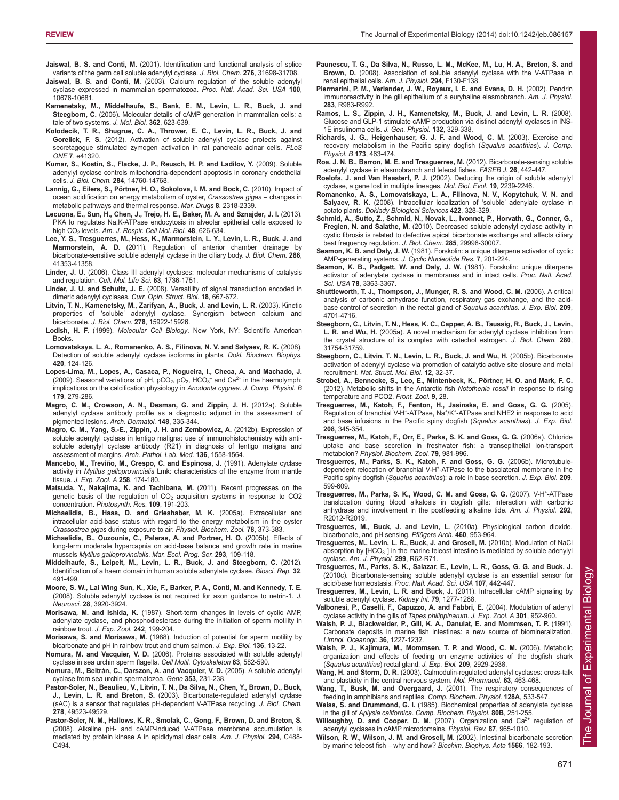- **Jaiswal, B. S. and Conti, M.** (2001). Identification and functional analysis of splice variants of the germ cell soluble adenylyl cyclase. *J. Biol. Chem.* **276**, 31698-31708.
- **Jaiswal, B. S. and Conti, M.** (2003). Calcium regulation of the soluble adenylyl cyclase expressed in mammalian spermatozoa. *Proc. Natl. Acad. Sci. USA* **100**, 10676-10681.
- **Kamenetsky, M., Middelhaufe, S., Bank, E. M., Levin, L. R., Buck, J. and Steegborn, C.** (2006). Molecular details of cAMP generation in mammalian cells: a tale of two systems. *J. Mol. Biol.* **362**, 623-639.
- **Kolodecik, T. R., Shugrue, C. A., Thrower, E. C., Levin, L. R., Buck, J. and Gorelick, F. S.** (2012). Activation of soluble adenylyl cyclase protects against secretagogue stimulated zymogen activation in rat pancreaic acinar cells. *PLoS ONE* **7**, e41320.
- **Kumar, S., Kostin, S., Flacke, J. P., Reusch, H. P. and Ladilov, Y.** (2009). Soluble adenylyl cyclase controls mitochondria-dependent apoptosis in coronary endothelial cells. *J. Biol. Chem.* **284**, 14760-14768.
- **Lannig, G., Eilers, S., Pörtner, H. O., Sokolova, I. M. and Bock, C.** (2010). Impact of ocean acidification on energy metabolism of oyster, *Crassostrea gigas* – changes in metabolic pathways and thermal response. *Mar. Drugs* **8**, 2318-2339.
- **Lecuona, E., Sun, H., Chen, J., Trejo, H. E., Baker, M. A. and Sznajder, J. I.** (2013). PKA Iα regulates Na,K-ATPase endocytosis in alveolar epithelial cells exposed to high CO2 levels. *Am. J. Respir. Cell Mol. Biol.* **48**, 626-634.
- **Lee, Y. S., Tresguerres, M., Hess, K., Marmorstein, L. Y., Levin, L. R., Buck, J. and Marmorstein, A. D.** (2011). Regulation of anterior chamber drainage by bicarbonate-sensitive soluble adenylyl cyclase in the ciliary body. *J. Biol. Chem.* **286**, 41353-41358.
- **Linder, J. U.** (2006). Class III adenylyl cyclases: molecular mechanisms of catalysis and regulation. *Cell. Mol. Life Sci.* **63**, 1736-1751.
- **Linder, J. U. and Schultz, J. E.** (2008). Versatility of signal transduction encoded in dimeric adenylyl cyclases. *Curr. Opin. Struct. Biol.* **18**, 667-672.
- **Litvin, T. N., Kamenetsky, M., Zarifyan, A., Buck, J. and Levin, L. R.** (2003). Kinetic properties of 'soluble' adenylyl cyclase. Synergism between calcium and bicarbonate. *J. Biol. Chem.* **278**, 15922-15926.
- **Lodish, H. F.** (1999). *Molecular Cell Biology*. New York, NY: Scientific American Books.
- **Lomovatskaya, L. A., Romanenko, A. S., Filinova, N. V. and Salyaev, R. K.** (2008). Detection of soluble adenylyl cyclase isoforms in plants. *Dokl. Biochem. Biophys.* **420**, 124-126.
- **Lopes-Lima, M., Lopes, A., Casaca, P., Nogueira, I., Checa, A. and Machado, J.** (2009). Seasonal variations of pH,  $pCO<sub>2</sub>$ ,  $pO<sub>2</sub>$ , HCO<sub>3</sub><sup>-</sup> and Ca<sup>2+</sup> in the haemolymph: implications on the calcification physiology in *Anodonta cygnea*. *J. Comp. Physiol. B* **179**, 279-286.
- **Magro, C. M., Crowson, A. N., Desman, G. and Zippin, J. H.** (2012a). Soluble adenylyl cyclase antibody profile as a diagnostic adjunct in the assessment of pigmented lesions. *Arch. Dermatol.* **148**, 335-344.
- **Magro, C. M., Yang, S.-E., Zippin, J. H. and Zembowicz, A.** (2012b). Expression of soluble adenylyl cyclase in lentigo maligna: use of immunohistochemistry with antisoluble adenylyl cyclase antibody (R21) in diagnosis of lentigo maligna and assessment of margins. *Arch. Pathol. Lab. Med.* **136**, 1558-1564.
- Mancebo, M., Treviño, M., Crespo, C. and Espinosa, J. (1991). Adenylate cyclase activity in *Mytilus galloprovincialis* Lmk: characteristics of the enzyme from mantle tissue. *J. Exp. Zool. A* **258**, 174-180.
- **Matsuda, Y., Nakajima, K. and Tachibana, M.** (2011). Recent progresses on the genetic basis of the regulation of  $CO<sub>2</sub>$  acquisition systems in response to  $CO<sub>2</sub>$ concentration. *Photosynth. Res.* **109**, 191-203.
- **Michaelidis, B., Haas, D. and Grieshaber, M. K.** (2005a). Extracellular and intracellular acid-base status with regard to the energy metabolism in the oyster *Crassostrea gigas* during exposure to air. *Physiol. Biochem. Zool.* **78**, 373-383.
- **Michaelidis, B., Ouzounis, C., Paleras, A. and Portner, H. O.** (2005b). Effects of long-term moderate hypercapnia on acid-base balance and growth rate in marine mussels *Mytilus galloprovincialis*. *Mar. Ecol. Prog. Ser.* **293**, 109-118.
- **Middelhaufe, S., Leipelt, M., Levin, L. R., Buck, J. and Steegborn, C.** (2012). Identification of a haem domain in human soluble adenylate cyclase. *Biosci. Rep.* **32**, 491-499.
- **Moore, S. W., Lai Wing Sun, K., Xie, F., Barker, P. A., Conti, M. and Kennedy, T. E.** (2008). Soluble adenylyl cyclase is not required for axon guidance to netrin-1. *J. Neurosci.* **28**, 3920-3924.
- **Morisawa, M. and Ishida, K.** (1987). Short-term changes in levels of cyclic AMP, adenylate cyclase, and phosphodiesterase during the initiation of sperm motility in rainbow trout. *J. Exp. Zool.* **242**, 199-204.
- **Morisawa, S. and Morisawa, M.** (1988). Induction of potential for sperm motility by bicarbonate and pH in rainbow trout and chum salmon. *J. Exp. Biol.* **136**, 13-22.
- **Nomura, M. and Vacquier, V. D.** (2006). Proteins associated with soluble adenylyl cyclase in sea urchin sperm flagella. *Cell Motil. Cytoskeleton* **63**, 582-590.
- **Nomura, M., Beltrán, C., Darszon, A. and Vacquier, V. D.** (2005). A soluble adenylyl cyclase from sea urchin spermatozoa. *Gene* **353**, 231-238.
- **Pastor-Soler, N., Beaulieu, V., Litvin, T. N., Da Silva, N., Chen, Y., Brown, D., Buck, J., Levin, L. R. and Breton, S.** (2003). Bicarbonate-regulated adenylyl cyclase (sAC) is a sensor that regulates pH-dependent V-ATPase recycling. *J. Biol. Chem.* **278**, 49523-49529.
- **Pastor-Soler, N. M., Hallows, K. R., Smolak, C., Gong, F., Brown, D. and Breton, S.** (2008). Alkaline pH- and cAMP-induced V-ATPase membrane accumulation is mediated by protein kinase A in epididymal clear cells. *Am. J. Physiol.* **294**, C488- C494.
- **Paunescu, T. G., Da Silva, N., Russo, L. M., McKee, M., Lu, H. A., Breton, S. and Brown, D.** (2008). Association of soluble adenylyl cyclase with the V-ATPase in renal epithelial cells. *Am. J. Physiol.* **294**, F130-F138.
- **Piermarini, P. M., Verlander, J. W., Royaux, I. E. and Evans, D. H.** (2002). Pendrin immunoreactivity in the gill epithelium of a euryhaline elasmobranch. *Am. J. Physiol.* **283**, R983-R992.
- **Ramos, L. S., Zippin, J. H., Kamenetsky, M., Buck, J. and Levin, L. R.** (2008). Glucose and GLP-1 stimulate cAMP production via distinct adenylyl cyclases in INS-1E insulinoma cells. *J. Gen. Physiol.* **132**, 329-338.
- **Richards, J. G., Heigenhauser, G. J. F. and Wood, C. M.** (2003). Exercise and recovery metabolism in the Pacific spiny dogfish (*Squalus acanthias*). *J. Comp. Physiol. B* **173**, 463-474.
- **Roa, J. N. B., Barron, M. E. and Tresguerres, M.** (2012). Bicarbonate-sensing soluble adenylyl cyclase in elasmobranch and teleost fishes. *FASEB J.* **26**, 442-447.
- **Roelofs, J. and Van Haastert, P. J.** (2002). Deducing the origin of soluble adenylyl cyclase, a gene lost in multiple lineages. *Mol. Biol. Evol.* **19**, 2239-2246.
- **Romanenko, A. S., Lomovatskaya, L. A., Filinova, N. V., Kopytchuk, V. N. and Salyaev, R. K.** (2008). Intracellular localization of 'soluble' adenylate cyclase in potato plants. *Doklady Biological Sciences* **422**, 328-329.
- **Schmid, A., Sutto, Z., Schmid, N., Novak, L., Ivonnet, P., Horvath, G., Conner, G., Fregien, N. and Salathe, M.** (2010). Decreased soluble adenylyl cyclase activity in cystic fibrosis is related to defective apical bicarbonate exchange and affects ciliary beat frequency regulation. *J. Biol. Chem.* **285**, 29998-30007.
- **Seamon, K. B. and Daly, J. W.** (1981). Forskolin: a unique diterpene activator of cyclic AMP-generating systems. *J. Cyclic Nucleotide Res.* **7**, 201-224.
- **Seamon, K. B., Padgett, W. and Daly, J. W.** (1981). Forskolin: unique diterpene activator of adenylate cyclase in membranes and in intact cells. *Proc. Natl. Acad. Sci. USA* **78**, 3363-3367.
- **Shuttleworth, T. J., Thompson, J., Munger, R. S. and Wood, C. M.** (2006). A critical analysis of carbonic anhydrase function, respiratory gas exchange, and the acidbase control of secretion in the rectal gland of *Squalus acanthias*. *J. Exp. Biol.* **209**, 4701-4716.
- **Steegborn, C., Litvin, T. N., Hess, K. C., Capper, A. B., Taussig, R., Buck, J., Levin, L. R. and Wu, H.** (2005a). A novel mechanism for adenylyl cyclase inhibition from the crystal structure of its complex with catechol estrogen. *J. Biol. Chem.* **280**, 31754-31759.
- **Steegborn, C., Litvin, T. N., Levin, L. R., Buck, J. and Wu, H.** (2005b). Bicarbonate activation of adenylyl cyclase via promotion of catalytic active site closure and metal recruitment. *Nat. Struct. Mol. Biol.* **12**, 32-37.
- **Strobel, A., Bennecke, S., Leo, E., Mintenbeck, K., Pörtner, H. O. and Mark, F. C.** (2012). Metabolic shifts in the Antarctic fish *Notothenia rossii* in response to rising temperature and PCO2. *Front. Zool.* **9**, 28.
- **Tresguerres, M., Katoh, F., Fenton, H., Jasinska, E. and Goss, G. G.** (2005). Regulation of branchial V-H+-ATPase, Na+/K+-ATPase and NHE2 in response to acid and base infusions in the Pacific spiny dogfish (*Squalus acanthias*). *J. Exp. Biol.* **208**, 345-354.
- **Tresguerres, M., Katoh, F., Orr, E., Parks, S. K. and Goss, G. G.** (2006a). Chloride uptake and base secretion in freshwater fish: a transepithelial ion-transport metabolon? *Physiol. Biochem. Zool.* **79**, 981-996.
- **Tresguerres, M., Parks, S. K., Katoh, F. and Goss, G. G.** (2006b). Microtubuledependent relocation of branchial V-H+-ATPase to the basolateral membrane in the Pacific spiny dogfish (*Squalus acanthias*): a role in base secretion. *J. Exp. Biol.* **209**, 599-609.
- Tresguerres, M., Parks, S. K., Wood, C. M. and Goss, G. G. (2007). V-H<sup>+</sup>-ATPase translocation during blood alkalosis in dogfish gills: interaction with carbonic anhydrase and involvement in the postfeeding alkaline tide. *Am. J. Physiol.* **292**, R2012-R2019.
- **Tresguerres, M., Buck, J. and Levin, L.** (2010a). Physiological carbon dioxide, bicarbonate, and pH sensing. *Pflügers Arch.* **460**, 953-964.
- **Tresguerres, M., Levin, L. R., Buck, J. and Grosell, M.** (2010b). Modulation of NaCl absorption by  $[HCO<sub>3</sub>^-]$  in the marine teleost intestine is mediated by soluble adenylyl cyclase. *Am. J. Physiol.* **299**, R62-R71.
- **Tresguerres, M., Parks, S. K., Salazar, E., Levin, L. R., Goss, G. G. and Buck, J.** (2010c). Bicarbonate-sensing soluble adenylyl cyclase is an essential sensor for acid/base homeostasis. *Proc. Natl. Acad. Sci. USA* **107**, 442-447.
- **Tresguerres, M., Levin, L. R. and Buck, J.** (2011). Intracellular cAMP signaling by soluble adenylyl cyclase. *Kidney Int.* **79**, 1277-1288.
- **Valbonesi, P., Caselli, F., Capuzzo, A. and Fabbri, E.** (2004). Modulation of adenyl cyclase activity in the gills of *Tapes philippinarum*. *J. Exp. Zool. A* **301**, 952-960.
- **Walsh, P. J., Blackwelder, P., Gill, K. A., Danulat, E. and Mommsen, T. P.** (1991). Carbonate deposits in marine fish intestines: a new source of biomineralization. *Limnol. Oceanogr.* **36**, 1227-1232.
- **Walsh, P. J., Kajimura, M., Mommsen, T. P. and Wood, C. M.** (2006). Metabolic organization and effects of feeding on enzyme activities of the dogfish shark (*Squalus acanthias*) rectal gland. *J. Exp. Biol.* **209**, 2929-2938.
- **Wang, H. and Storm, D. R.** (2003). Calmodulin-regulated adenylyl cyclases: cross-talk and plasticity in the central nervous system. *Mol. Pharmacol.* **63**, 463-468.
- **Wang, T., Busk, M. and Overgaard, J.** (2001). The respiratory consequences of feeding in amphibians and reptiles. *Comp. Biochem. Physiol.* **128A**, 533-547.
- **Weiss, S. and Drummond, G. I.** (1985). Biochemical properties of adenylate cyclase in the gill of *Aplysia californica*. *Comp. Biochem. Physiol.* **80B**, 251-255.
- Willoughby, D. and Cooper, D. M. (2007). Organization and Ca<sup>2+</sup> regulation of adenylyl cyclases in cAMP microdomains. *Physiol. Rev.* **87**, 965-1010.
- **Wilson, R. W., Wilson, J. M. and Grosell, M.** (2002). Intestinal bicarbonate secretion by marine teleost fish – why and how? *Biochim. Biophys. Acta* **1566**, 182-193.